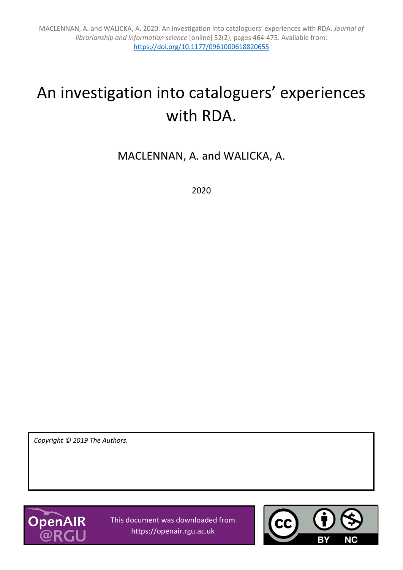# An investigation into cataloguers' experiences with RDA.

MACLENNAN, A. and WALICKA, A.

2020

*Copyright © 2019 The Authors.*



This document was downloaded from https://openair.rgu.ac.uk

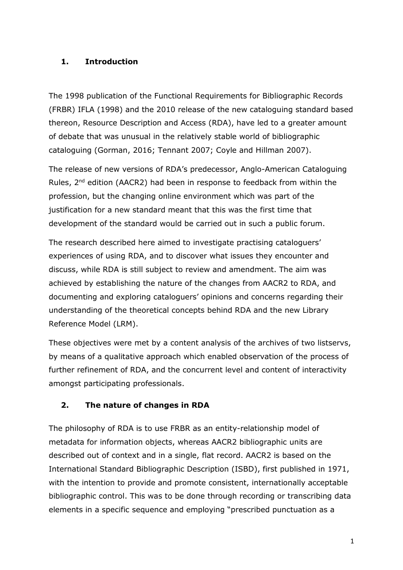# **1. Introduction**

The 1998 publication of the Functional Requirements for Bibliographic Records (FRBR) IFLA (1998) and the 2010 release of the new cataloguing standard based thereon, Resource Description and Access (RDA), have led to a greater amount of debate that was unusual in the relatively stable world of bibliographic cataloguing (Gorman, 2016; Tennant 2007; Coyle and Hillman 2007).

The release of new versions of RDA's predecessor, Anglo-American Cataloguing Rules, 2<sup>nd</sup> edition (AACR2) had been in response to feedback from within the profession, but the changing online environment which was part of the justification for a new standard meant that this was the first time that development of the standard would be carried out in such a public forum.

The research described here aimed to investigate practising cataloguers' experiences of using RDA, and to discover what issues they encounter and discuss, while RDA is still subject to review and amendment. The aim was achieved by establishing the nature of the changes from AACR2 to RDA, and documenting and exploring cataloguers' opinions and concerns regarding their understanding of the theoretical concepts behind RDA and the new Library Reference Model (LRM).

These objectives were met by a content analysis of the archives of two listservs, by means of a qualitative approach which enabled observation of the process of further refinement of RDA, and the concurrent level and content of interactivity amongst participating professionals.

# **2. The nature of changes in RDA**

The philosophy of RDA is to use FRBR as an entity-relationship model of metadata for information objects, whereas AACR2 bibliographic units are described out of context and in a single, flat record. AACR2 is based on the International Standard Bibliographic Description (ISBD), first published in 1971, with the intention to provide and promote consistent, internationally acceptable bibliographic control. This was to be done through recording or transcribing data elements in a specific sequence and employing "prescribed punctuation as a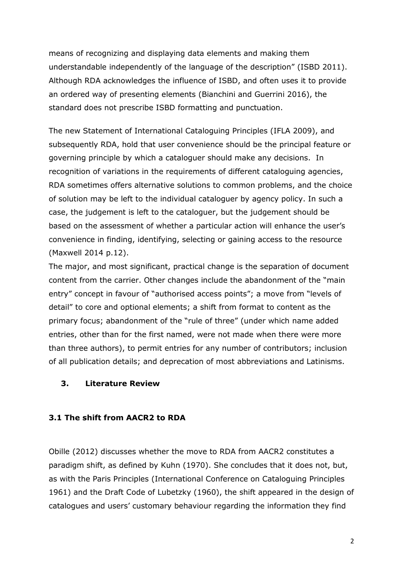means of recognizing and displaying data elements and making them understandable independently of the language of the description" (ISBD 2011). Although RDA acknowledges the influence of ISBD, and often uses it to provide an ordered way of presenting elements (Bianchini and Guerrini 2016), the standard does not prescribe ISBD formatting and punctuation.

The new Statement of International Cataloguing Principles (IFLA 2009), and subsequently RDA, hold that user convenience should be the principal feature or governing principle by which a cataloguer should make any decisions. In recognition of variations in the requirements of different cataloguing agencies, RDA sometimes offers alternative solutions to common problems, and the choice of solution may be left to the individual cataloguer by agency policy. In such a case, the judgement is left to the cataloguer, but the judgement should be based on the assessment of whether a particular action will enhance the user's convenience in finding, identifying, selecting or gaining access to the resource (Maxwell 2014 p.12).

The major, and most significant, practical change is the separation of document content from the carrier. Other changes include the abandonment of the "main entry" concept in favour of "authorised access points"; a move from "levels of detail" to core and optional elements; a shift from format to content as the primary focus; abandonment of the "rule of three" (under which name added entries, other than for the first named, were not made when there were more than three authors), to permit entries for any number of contributors; inclusion of all publication details; and deprecation of most abbreviations and Latinisms.

# **3. Literature Review**

# **3.1 The shift from AACR2 to RDA**

Obille (2012) discusses whether the move to RDA from AACR2 constitutes a paradigm shift, as defined by Kuhn (1970). She concludes that it does not, but, as with the Paris Principles (International Conference on Cataloguing Principles 1961) and the Draft Code of Lubetzky (1960), the shift appeared in the design of catalogues and users' customary behaviour regarding the information they find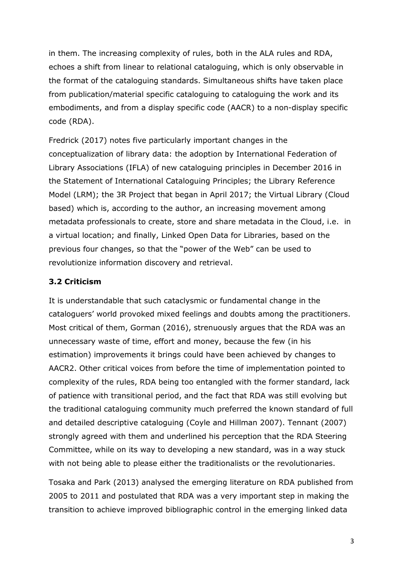in them. The increasing complexity of rules, both in the ALA rules and RDA, echoes a shift from linear to relational cataloguing, which is only observable in the format of the cataloguing standards. Simultaneous shifts have taken place from publication/material specific cataloguing to cataloguing the work and its embodiments, and from a display specific code (AACR) to a non-display specific code (RDA).

Fredrick (2017) notes five particularly important changes in the conceptualization of library data: the adoption by International Federation of Library Associations (IFLA) of new cataloguing principles in December 2016 in the Statement of International Cataloguing Principles; the Library Reference Model (LRM); the 3R Project that began in April 2017; the Virtual Library (Cloud based) which is, according to the author, an increasing movement among metadata professionals to create, store and share metadata in the Cloud, i.e. in a virtual location; and finally, Linked Open Data for Libraries, based on the previous four changes, so that the "power of the Web" can be used to revolutionize information discovery and retrieval.

#### **3.2 Criticism**

It is understandable that such cataclysmic or fundamental change in the cataloguers' world provoked mixed feelings and doubts among the practitioners. Most critical of them, Gorman (2016), strenuously argues that the RDA was an unnecessary waste of time, effort and money, because the few (in his estimation) improvements it brings could have been achieved by changes to AACR2. Other critical voices from before the time of implementation pointed to complexity of the rules, RDA being too entangled with the former standard, lack of patience with transitional period, and the fact that RDA was still evolving but the traditional cataloguing community much preferred the known standard of full and detailed descriptive cataloguing (Coyle and Hillman 2007). Tennant (2007) strongly agreed with them and underlined his perception that the RDA Steering Committee, while on its way to developing a new standard, was in a way stuck with not being able to please either the traditionalists or the revolutionaries.

Tosaka and Park (2013) analysed the emerging literature on RDA published from 2005 to 2011 and postulated that RDA was a very important step in making the transition to achieve improved bibliographic control in the emerging linked data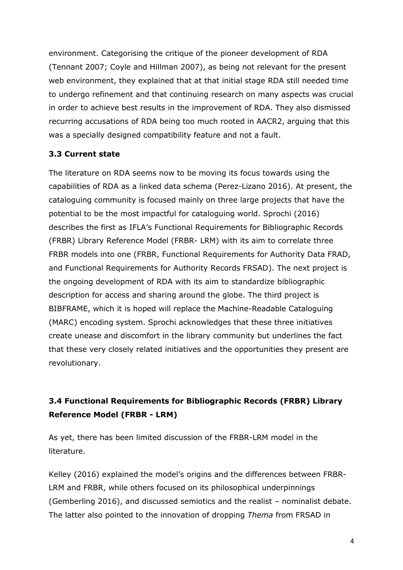environment. Categorising the critique of the pioneer development of RDA (Tennant 2007; Coyle and Hillman 2007), as being not relevant for the present web environment, they explained that at that initial stage RDA still needed time to undergo refinement and that continuing research on many aspects was crucial in order to achieve best results in the improvement of RDA. They also dismissed recurring accusations of RDA being too much rooted in AACR2, arguing that this was a specially designed compatibility feature and not a fault.

#### **3.3 Current state**

The literature on RDA seems now to be moving its focus towards using the capabilities of RDA as a linked data schema (Perez-Lizano 2016). At present, the cataloguing community is focused mainly on three large projects that have the potential to be the most impactful for cataloguing world. Sprochi (2016) describes the first as IFLA's Functional Requirements for Bibliographic Records (FRBR) Library Reference Model (FRBR- LRM) with its aim to correlate three FRBR models into one (FRBR, Functional Requirements for Authority Data FRAD, and Functional Requirements for Authority Records FRSAD). The next project is the ongoing development of RDA with its aim to standardize bibliographic description for access and sharing around the globe. The third project is BIBFRAME, which it is hoped will replace the Machine-Readable Cataloguing (MARC) encoding system. Sprochi acknowledges that these three initiatives create unease and discomfort in the library community but underlines the fact that these very closely related initiatives and the opportunities they present are revolutionary.

# **3.4 Functional Requirements for Bibliographic Records (FRBR) Library Reference Model (FRBR - LRM)**

As yet, there has been limited discussion of the FRBR-LRM model in the literature.

Kelley (2016) explained the model's origins and the differences between FRBR-LRM and FRBR, while others focused on its philosophical underpinnings (Gemberling 2016), and discussed semiotics and the realist – nominalist debate. The latter also pointed to the innovation of dropping *Thema* from FRSAD in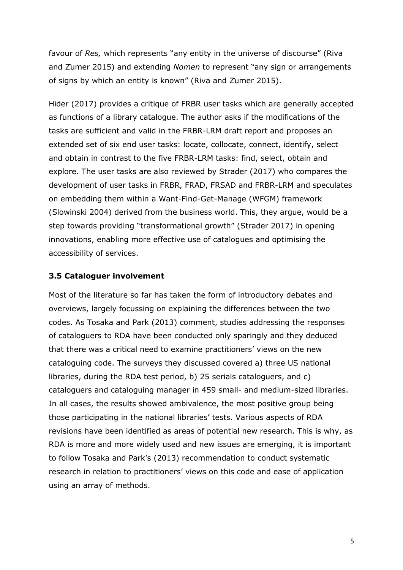favour of *Res,* which represents "any entity in the universe of discourse" (Riva and Žumer 2015) and extending *Nomen* to represent "any sign or arrangements of signs by which an entity is known" (Riva and Žumer 2015).

Hider (2017) provides a critique of FRBR user tasks which are generally accepted as functions of a library catalogue. The author asks if the modifications of the tasks are sufficient and valid in the FRBR-LRM draft report and proposes an extended set of six end user tasks: locate, collocate, connect, identify, select and obtain in contrast to the five FRBR-LRM tasks: find, select, obtain and explore. The user tasks are also reviewed by Strader (2017) who compares the development of user tasks in FRBR, FRAD, FRSAD and FRBR-LRM and speculates on embedding them within a Want-Find-Get-Manage (WFGM) framework (Slowinski 2004) derived from the business world. This, they argue, would be a step towards providing "transformational growth" (Strader 2017) in opening innovations, enabling more effective use of catalogues and optimising the accessibility of services.

#### **3.5 Cataloguer involvement**

Most of the literature so far has taken the form of introductory debates and overviews, largely focussing on explaining the differences between the two codes. As Tosaka and Park (2013) comment, studies addressing the responses of cataloguers to RDA have been conducted only sparingly and they deduced that there was a critical need to examine practitioners' views on the new cataloguing code. The surveys they discussed covered a) three US national libraries, during the RDA test period, b) 25 serials cataloguers, and c) cataloguers and cataloguing manager in 459 small- and medium-sized libraries. In all cases, the results showed ambivalence, the most positive group being those participating in the national libraries' tests. Various aspects of RDA revisions have been identified as areas of potential new research. This is why, as RDA is more and more widely used and new issues are emerging, it is important to follow Tosaka and Park's (2013) recommendation to conduct systematic research in relation to practitioners' views on this code and ease of application using an array of methods.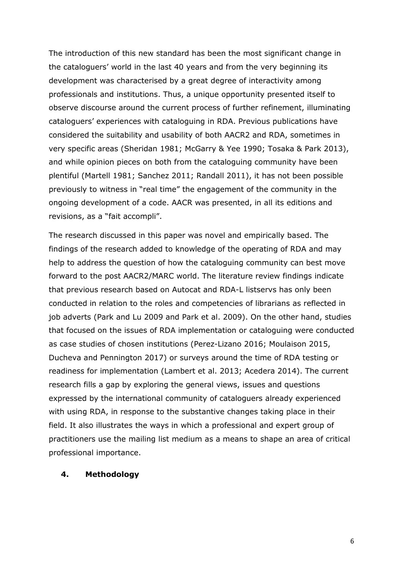The introduction of this new standard has been the most significant change in the cataloguers' world in the last 40 years and from the very beginning its development was characterised by a great degree of interactivity among professionals and institutions. Thus, a unique opportunity presented itself to observe discourse around the current process of further refinement, illuminating cataloguers' experiences with cataloguing in RDA. Previous publications have considered the suitability and usability of both AACR2 and RDA, sometimes in very specific areas (Sheridan 1981; McGarry & Yee 1990; Tosaka & Park 2013), and while opinion pieces on both from the cataloguing community have been plentiful (Martell 1981; Sanchez 2011; Randall 2011), it has not been possible previously to witness in "real time" the engagement of the community in the ongoing development of a code. AACR was presented, in all its editions and revisions, as a "fait accompli".

The research discussed in this paper was novel and empirically based. The findings of the research added to knowledge of the operating of RDA and may help to address the question of how the cataloguing community can best move forward to the post AACR2/MARC world. The literature review findings indicate that previous research based on Autocat and RDA-L listservs has only been conducted in relation to the roles and competencies of librarians as reflected in job adverts (Park and Lu 2009 and Park et al. 2009). On the other hand, studies that focused on the issues of RDA implementation or cataloguing were conducted as case studies of chosen institutions (Perez-Lizano 2016; Moulaison 2015, Ducheva and Pennington 2017) or surveys around the time of RDA testing or readiness for implementation (Lambert et al. 2013; Acedera 2014). The current research fills a gap by exploring the general views, issues and questions expressed by the international community of cataloguers already experienced with using RDA, in response to the substantive changes taking place in their field. It also illustrates the ways in which a professional and expert group of practitioners use the mailing list medium as a means to shape an area of critical professional importance.

# **4. Methodology**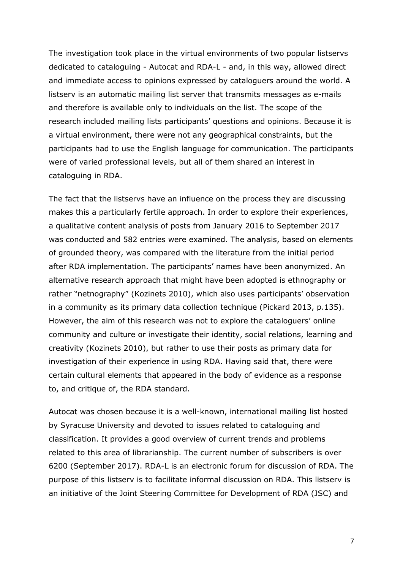The investigation took place in the virtual environments of two popular listservs dedicated to cataloguing - Autocat and RDA-L - and, in this way, allowed direct and immediate access to opinions expressed by cataloguers around the world. A listserv is an automatic mailing list server that transmits messages as e-mails and therefore is available only to individuals on the list. The scope of the research included mailing lists participants' questions and opinions. Because it is a virtual environment, there were not any geographical constraints, but the participants had to use the English language for communication. The participants were of varied professional levels, but all of them shared an interest in cataloguing in RDA.

The fact that the listservs have an influence on the process they are discussing makes this a particularly fertile approach. In order to explore their experiences, a qualitative content analysis of posts from January 2016 to September 2017 was conducted and 582 entries were examined. The analysis, based on elements of grounded theory, was compared with the literature from the initial period after RDA implementation. The participants' names have been anonymized. An alternative research approach that might have been adopted is ethnography or rather "netnography" (Kozinets 2010), which also uses participants' observation in a community as its primary data collection technique (Pickard 2013, p.135). However, the aim of this research was not to explore the cataloguers' online community and culture or investigate their identity, social relations, learning and creativity (Kozinets 2010), but rather to use their posts as primary data for investigation of their experience in using RDA. Having said that, there were certain cultural elements that appeared in the body of evidence as a response to, and critique of, the RDA standard.

Autocat was chosen because it is a well-known, international mailing list hosted by Syracuse University and devoted to issues related to cataloguing and classification. It provides a good overview of current trends and problems related to this area of librarianship. The current number of subscribers is over 6200 (September 2017). RDA-L is an electronic forum for discussion of RDA. The purpose of this listserv is to facilitate informal discussion on RDA. This listserv is an initiative of the Joint Steering Committee for Development of RDA (JSC) and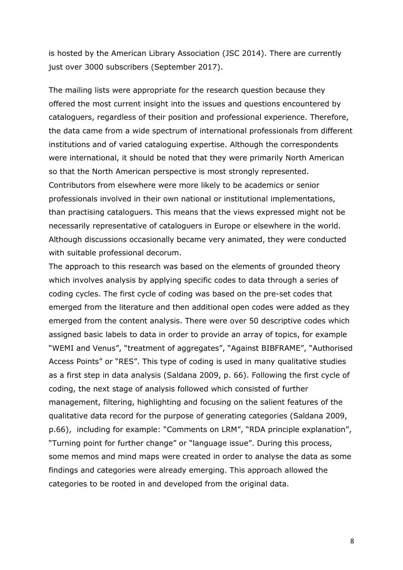is hosted by the American Library Association (JSC 2014). There are currently just over 3000 subscribers (September 2017).

The mailing lists were appropriate for the research question because they offered the most current insight into the issues and questions encountered by cataloguers, regardless of their position and professional experience. Therefore, the data came from a wide spectrum of international professionals from different institutions and of varied cataloguing expertise. Although the correspondents were international, it should be noted that they were primarily North American so that the North American perspective is most strongly represented. Contributors from elsewhere were more likely to be academics or senior professionals involved in their own national or institutional implementations, than practising cataloguers. This means that the views expressed might not be necessarily representative of cataloguers in Europe or elsewhere in the world. Although discussions occasionally became very animated, they were conducted with suitable professional decorum.

The approach to this research was based on the elements of grounded theory which involves analysis by applying specific codes to data through a series of coding cycles. The first cycle of coding was based on the pre-set codes that emerged from the literature and then additional open codes were added as they emerged from the content analysis. There were over 50 descriptive codes which assigned basic labels to data in order to provide an array of topics, for example "WEMI and Venus", "treatment of aggregates", "Against BIBFRAME", "Authorised Access Points" or "RES". This type of coding is used in many qualitative studies as a first step in data analysis (Saldana 2009, p. 66). Following the first cycle of coding, the next stage of analysis followed which consisted of further management, filtering, highlighting and focusing on the salient features of the qualitative data record for the purpose of generating categories (Saldana 2009, p.66), including for example: "Comments on LRM", "RDA principle explanation", "Turning point for further change" or "language issue". During this process, some memos and mind maps were created in order to analyse the data as some findings and categories were already emerging. This approach allowed the categories to be rooted in and developed from the original data.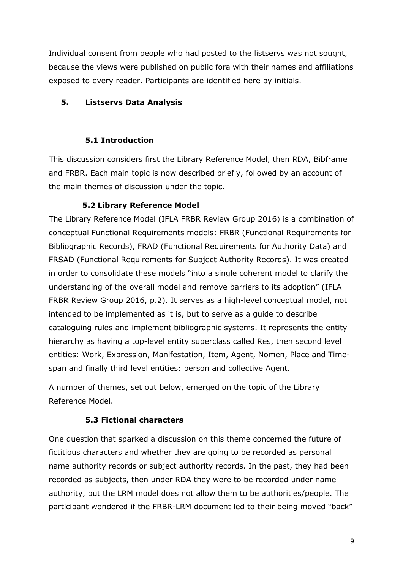Individual consent from people who had posted to the listservs was not sought, because the views were published on public fora with their names and affiliations exposed to every reader. Participants are identified here by initials.

# **5. Listservs Data Analysis**

# **5.1 Introduction**

This discussion considers first the Library Reference Model, then RDA, Bibframe and FRBR. Each main topic is now described briefly, followed by an account of the main themes of discussion under the topic.

# **5.2 Library Reference Model**

The Library Reference Model (IFLA FRBR Review Group 2016) is a combination of conceptual Functional Requirements models: FRBR (Functional Requirements for Bibliographic Records), FRAD (Functional Requirements for Authority Data) and FRSAD (Functional Requirements for Subject Authority Records). It was created in order to consolidate these models "into a single coherent model to clarify the understanding of the overall model and remove barriers to its adoption" (IFLA FRBR Review Group 2016, p.2). It serves as a high-level conceptual model, not intended to be implemented as it is, but to serve as a guide to describe cataloguing rules and implement bibliographic systems. It represents the entity hierarchy as having a top-level entity superclass called Res, then second level entities: Work, Expression, Manifestation, Item, Agent, Nomen, Place and Timespan and finally third level entities: person and collective Agent.

A number of themes, set out below, emerged on the topic of the Library Reference Model.

# **5.3 Fictional characters**

One question that sparked a discussion on this theme concerned the future of fictitious characters and whether they are going to be recorded as personal name authority records or subject authority records. In the past, they had been recorded as subjects, then under RDA they were to be recorded under name authority, but the LRM model does not allow them to be authorities/people. The participant wondered if the FRBR-LRM document led to their being moved "back"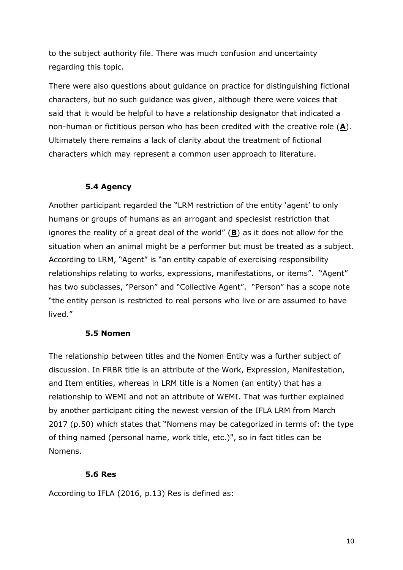to the subject authority file. There was much confusion and uncertainty regarding this topic.

There were also questions about guidance on practice for distinguishing fictional characters, but no such guidance was given, although there were voices that said that it would be helpful to have a relationship designator that indicated a non-human or fictitious person who has been credited with the creative role (**A**). Ultimately there remains a lack of clarity about the treatment of fictional characters which may represent a common user approach to literature.

# **5.4 Agency**

Another participant regarded the "LRM restriction of the entity 'agent' to only humans or groups of humans as an arrogant and speciesist restriction that ignores the reality of a great deal of the world" (**B**) as it does not allow for the situation when an animal might be a performer but must be treated as a subject. According to LRM, "Agent" is "an entity capable of exercising responsibility relationships relating to works, expressions, manifestations, or items". "Agent" has two subclasses, "Person" and "Collective Agent". "Person" has a scope note "the entity person is restricted to real persons who live or are assumed to have lived."

#### **5.5 Nomen**

The relationship between titles and the Nomen Entity was a further subject of discussion. In FRBR title is an attribute of the Work, Expression, Manifestation, and Item entities, whereas in LRM title is a Nomen (an entity) that has a relationship to WEMI and not an attribute of WEMI. That was further explained by another participant citing the newest version of the IFLA LRM from March 2017 (p.50) which states that "Nomens may be categorized in terms of: the type of thing named (personal name, work title, etc.)", so in fact titles can be Nomens.

# **5.6 Res**

According to IFLA (2016, p.13) Res is defined as: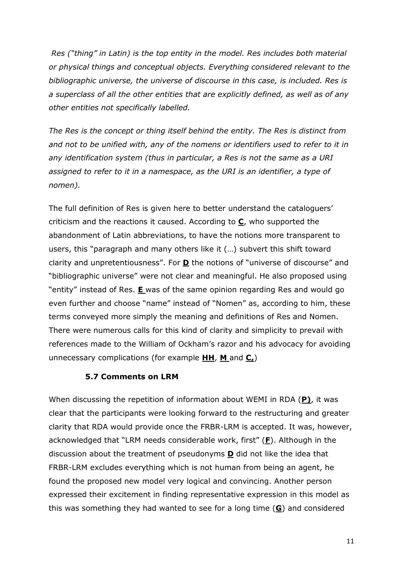*Res ("thing" in Latin) is the top entity in the model. Res includes both material or physical things and conceptual objects. Everything considered relevant to the bibliographic universe, the universe of discourse in this case, is included. Res is a superclass of all the other entities that are explicitly defined, as well as of any other entities not specifically labelled.* 

*The Res is the concept or thing itself behind the entity. The Res is distinct from and not to be unified with, any of the nomens or identifiers used to refer to it in any identification system (thus in particular, a Res is not the same as a URI assigned to refer to it in a namespace, as the URI is an identifier, a type of nomen).* 

The full definition of Res is given here to better understand the cataloguers' criticism and the reactions it caused. According to **C**, who supported the abandonment of Latin abbreviations, to have the notions more transparent to users, this "paragraph and many others like it (…) subvert this shift toward clarity and unpretentiousness". For **D** the notions of "universe of discourse" and "bibliographic universe" were not clear and meaningful. He also proposed using "entity" instead of Res. **E** was of the same opinion regarding Res and would go even further and choose "name" instead of "Nomen" as, according to him, these terms conveyed more simply the meaning and definitions of Res and Nomen. There were numerous calls for this kind of clarity and simplicity to prevail with references made to the William of Ockham's razor and his advocacy for avoiding unnecessary complications (for example **HH**, **M** and **C,**)

#### **5.7 Comments on LRM**

When discussing the repetition of information about WEMI in RDA (**P)**, it was clear that the participants were looking forward to the restructuring and greater clarity that RDA would provide once the FRBR-LRM is accepted. It was, however, acknowledged that "LRM needs considerable work, first" (**F**). Although in the discussion about the treatment of pseudonyms **D** did not like the idea that FRBR-LRM excludes everything which is not human from being an agent, he found the proposed new model very logical and convincing. Another person expressed their excitement in finding representative expression in this model as this was something they had wanted to see for a long time (**G**) and considered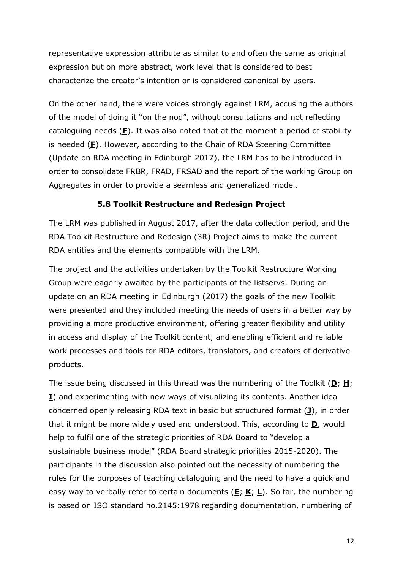representative expression attribute as similar to and often the same as original expression but on more abstract, work level that is considered to best characterize the creator's intention or is considered canonical by users.

On the other hand, there were voices strongly against LRM, accusing the authors of the model of doing it "on the nod", without consultations and not reflecting cataloguing needs (**F**). It was also noted that at the moment a period of stability is needed (**F**). However, according to the Chair of RDA Steering Committee (Update on RDA meeting in Edinburgh 2017), the LRM has to be introduced in order to consolidate FRBR, FRAD, FRSAD and the report of the working Group on Aggregates in order to provide a seamless and generalized model.

# **5.8 Toolkit Restructure and Redesign Project**

The LRM was published in August 2017, after the data collection period, and the RDA Toolkit Restructure and Redesign (3R) Project aims to make the current RDA entities and the elements compatible with the LRM.

The project and the activities undertaken by the Toolkit Restructure Working Group were eagerly awaited by the participants of the listservs. During an update on an RDA meeting in Edinburgh (2017) the goals of the new Toolkit were presented and they included meeting the needs of users in a better way by providing a more productive environment, offering greater flexibility and utility in access and display of the Toolkit content, and enabling efficient and reliable work processes and tools for RDA editors, translators, and creators of derivative products.

The issue being discussed in this thread was the numbering of the Toolkit (**D**; **H**; **I**) and experimenting with new ways of visualizing its contents. Another idea concerned openly releasing RDA text in basic but structured format (**J**), in order that it might be more widely used and understood. This, according to **D**, would help to fulfil one of the strategic priorities of RDA Board to "develop a sustainable business model" (RDA Board strategic priorities 2015-2020). The participants in the discussion also pointed out the necessity of numbering the rules for the purposes of teaching cataloguing and the need to have a quick and easy way to verbally refer to certain documents (**E**; **K**; **L**). So far, the numbering is based on ISO standard no.2145:1978 regarding documentation, numbering of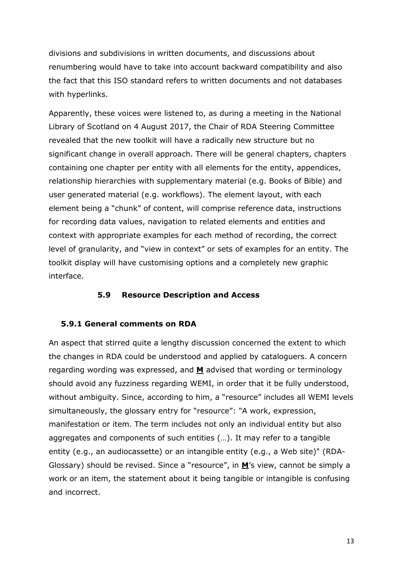divisions and subdivisions in written documents, and discussions about renumbering would have to take into account backward compatibility and also the fact that this ISO standard refers to written documents and not databases with hyperlinks.

Apparently, these voices were listened to, as during a meeting in the National Library of Scotland on 4 August 2017, the Chair of RDA Steering Committee revealed that the new toolkit will have a radically new structure but no significant change in overall approach. There will be general chapters, chapters containing one chapter per entity with all elements for the entity, appendices, relationship hierarchies with supplementary material (e.g. Books of Bible) and user generated material (e.g. workflows). The element layout, with each element being a "chunk" of content, will comprise reference data, instructions for recording data values, navigation to related elements and entities and context with appropriate examples for each method of recording, the correct level of granularity, and "view in context" or sets of examples for an entity. The toolkit display will have customising options and a completely new graphic interface.

#### **5.9 Resource Description and Access**

#### **5.9.1 General comments on RDA**

An aspect that stirred quite a lengthy discussion concerned the extent to which the changes in RDA could be understood and applied by cataloguers. A concern regarding wording was expressed, and **M** advised that wording or terminology should avoid any fuzziness regarding WEMI, in order that it be fully understood, without ambiguity. Since, according to him, a "resource" includes all WEMI levels simultaneously, the glossary entry for "resource": "A work, expression, manifestation or item. The term includes not only an individual entity but also aggregates and components of such entities (…). It may refer to a tangible entity (e.g., an audiocassette) or an intangible entity (e.g., a Web site)" (RDA-Glossary) should be revised. Since a "resource", in **M**'s view, cannot be simply a work or an item, the statement about it being tangible or intangible is confusing and incorrect.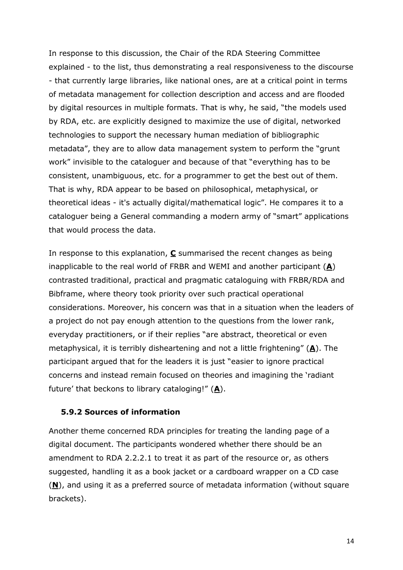In response to this discussion, the Chair of the RDA Steering Committee explained - to the list, thus demonstrating a real responsiveness to the discourse - that currently large libraries, like national ones, are at a critical point in terms of metadata management for collection description and access and are flooded by digital resources in multiple formats. That is why, he said, "the models used by RDA, etc. are explicitly designed to maximize the use of digital, networked technologies to support the necessary human mediation of bibliographic metadata", they are to allow data management system to perform the "grunt work" invisible to the cataloguer and because of that "everything has to be consistent, unambiguous, etc. for a programmer to get the best out of them. That is why, RDA appear to be based on philosophical, metaphysical, or theoretical ideas - it's actually digital/mathematical logic". He compares it to a cataloguer being a General commanding a modern army of "smart" applications that would process the data.

In response to this explanation, **C** summarised the recent changes as being inapplicable to the real world of FRBR and WEMI and another participant (**A**) contrasted traditional, practical and pragmatic cataloguing with FRBR/RDA and Bibframe, where theory took priority over such practical operational considerations. Moreover, his concern was that in a situation when the leaders of a project do not pay enough attention to the questions from the lower rank, everyday practitioners, or if their replies "are abstract, theoretical or even metaphysical, it is terribly disheartening and not a little frightening" (**A**). The participant argued that for the leaders it is just "easier to ignore practical concerns and instead remain focused on theories and imagining the 'radiant future' that beckons to library cataloging!" (**A**).

#### **5.9.2 Sources of information**

Another theme concerned RDA principles for treating the landing page of a digital document. The participants wondered whether there should be an amendment to RDA 2.2.2.1 to treat it as part of the resource or, as others suggested, handling it as a book jacket or a cardboard wrapper on a CD case (**N**), and using it as a preferred source of metadata information (without square brackets).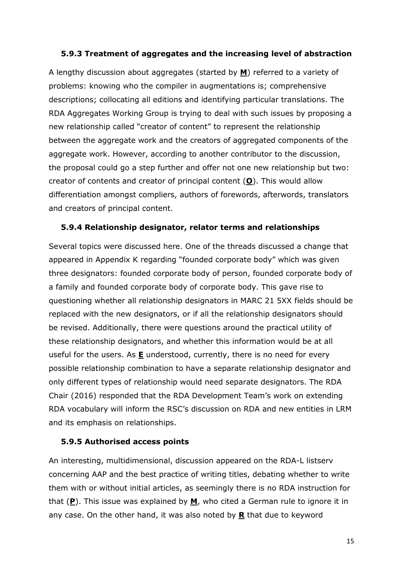#### **5.9.3 Treatment of aggregates and the increasing level of abstraction**

A lengthy discussion about aggregates (started by **M**) referred to a variety of problems: knowing who the compiler in augmentations is; comprehensive descriptions; collocating all editions and identifying particular translations. The RDA Aggregates Working Group is trying to deal with such issues by proposing a new relationship called "creator of content" to represent the relationship between the aggregate work and the creators of aggregated components of the aggregate work. However, according to another contributor to the discussion, the proposal could go a step further and offer not one new relationship but two: creator of contents and creator of principal content (**O**). This would allow differentiation amongst compliers, authors of forewords, afterwords, translators and creators of principal content.

# **5.9.4 Relationship designator, relator terms and relationships**

Several topics were discussed here. One of the threads discussed a change that appeared in Appendix K regarding "founded corporate body" which was given three designators: founded corporate body of person, founded corporate body of a family and founded corporate body of corporate body. This gave rise to questioning whether all relationship designators in MARC 21 5XX fields should be replaced with the new designators, or if all the relationship designators should be revised. Additionally, there were questions around the practical utility of these relationship designators, and whether this information would be at all useful for the users. As **E** understood, currently, there is no need for every possible relationship combination to have a separate relationship designator and only different types of relationship would need separate designators. The RDA Chair (2016) responded that the RDA Development Team's work on extending RDA vocabulary will inform the RSC's discussion on RDA and new entities in LRM and its emphasis on relationships.

#### **5.9.5 Authorised access points**

An interesting, multidimensional, discussion appeared on the RDA-L listserv concerning AAP and the best practice of writing titles, debating whether to write them with or without initial articles, as seemingly there is no RDA instruction for that (**P**). This issue was explained by **M**, who cited a German rule to ignore it in any case. On the other hand, it was also noted by **R** that due to keyword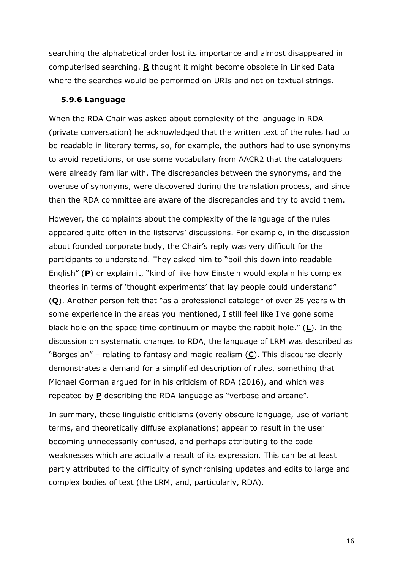searching the alphabetical order lost its importance and almost disappeared in computerised searching. **R** thought it might become obsolete in Linked Data where the searches would be performed on URIs and not on textual strings.

#### **5.9.6 Language**

When the RDA Chair was asked about complexity of the language in RDA (private conversation) he acknowledged that the written text of the rules had to be readable in literary terms, so, for example, the authors had to use synonyms to avoid repetitions, or use some vocabulary from AACR2 that the cataloguers were already familiar with. The discrepancies between the synonyms, and the overuse of synonyms, were discovered during the translation process, and since then the RDA committee are aware of the discrepancies and try to avoid them.

However, the complaints about the complexity of the language of the rules appeared quite often in the listservs' discussions. For example, in the discussion about founded corporate body, the Chair's reply was very difficult for the participants to understand. They asked him to "boil this down into readable English" (**P**) or explain it, "kind of like how Einstein would explain his complex theories in terms of 'thought experiments' that lay people could understand" (**Q**). Another person felt that "as a professional cataloger of over 25 years with some experience in the areas you mentioned, I still feel like I've gone some black hole on the space time continuum or maybe the rabbit hole." (**L**). In the discussion on systematic changes to RDA, the language of LRM was described as "Borgesian" – relating to fantasy and magic realism (**C**). This discourse clearly demonstrates a demand for a simplified description of rules, something that Michael Gorman argued for in his criticism of RDA (2016), and which was repeated by **P** describing the RDA language as "verbose and arcane".

In summary, these linguistic criticisms (overly obscure language, use of variant terms, and theoretically diffuse explanations) appear to result in the user becoming unnecessarily confused, and perhaps attributing to the code weaknesses which are actually a result of its expression. This can be at least partly attributed to the difficulty of synchronising updates and edits to large and complex bodies of text (the LRM, and, particularly, RDA).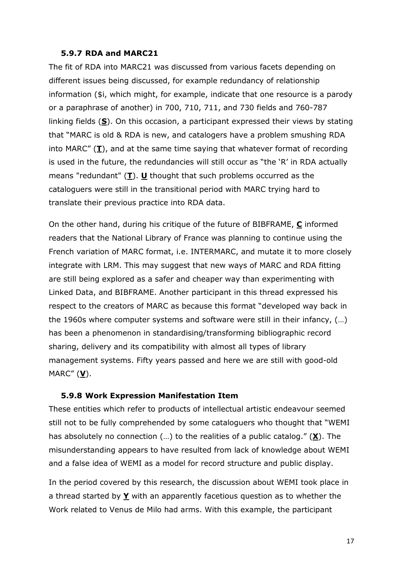#### **5.9.7 RDA and MARC21**

The fit of RDA into MARC21 was discussed from various facets depending on different issues being discussed, for example redundancy of relationship information (\$i, which might, for example, indicate that one resource is a parody or a paraphrase of another) in 700, 710, 711, and 730 fields and 760-787 linking fields (**S**). On this occasion, a participant expressed their views by stating that "MARC is old & RDA is new, and catalogers have a problem smushing RDA into MARC" (**T**), and at the same time saying that whatever format of recording is used in the future, the redundancies will still occur as "the 'R' in RDA actually means "redundant" (**T**). **U** thought that such problems occurred as the cataloguers were still in the transitional period with MARC trying hard to translate their previous practice into RDA data.

On the other hand, during his critique of the future of BIBFRAME, **C** informed readers that the National Library of France was planning to continue using the French variation of MARC format, i.e. INTERMARC, and mutate it to more closely integrate with LRM. This may suggest that new ways of MARC and RDA fitting are still being explored as a safer and cheaper way than experimenting with Linked Data, and BIBFRAME. Another participant in this thread expressed his respect to the creators of MARC as because this format "developed way back in the 1960s where computer systems and software were still in their infancy, (…) has been a phenomenon in standardising/transforming bibliographic record sharing, delivery and its compatibility with almost all types of library management systems. Fifty years passed and here we are still with good-old MARC" (**V**).

#### **5.9.8 Work Expression Manifestation Item**

These entities which refer to products of intellectual artistic endeavour seemed still not to be fully comprehended by some cataloguers who thought that "WEMI has absolutely no connection (…) to the realities of a public catalog." (**X**). The misunderstanding appears to have resulted from lack of knowledge about WEMI and a false idea of WEMI as a model for record structure and public display.

In the period covered by this research, the discussion about WEMI took place in a thread started by **Y** with an apparently facetious question as to whether the Work related to Venus de Milo had arms. With this example, the participant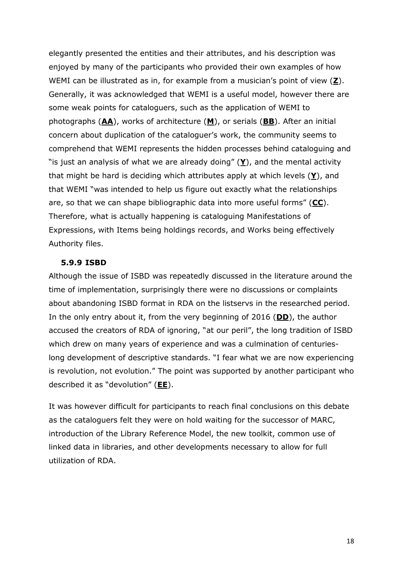elegantly presented the entities and their attributes, and his description was enjoyed by many of the participants who provided their own examples of how WEMI can be illustrated as in, for example from a musician's point of view (**Z**). Generally, it was acknowledged that WEMI is a useful model, however there are some weak points for cataloguers, such as the application of WEMI to photographs (**AA**), works of architecture (**M**), or serials (**BB**). After an initial concern about duplication of the cataloguer's work, the community seems to comprehend that WEMI represents the hidden processes behind cataloguing and "is just an analysis of what we are already doing" (**Y**), and the mental activity that might be hard is deciding which attributes apply at which levels (**Y**), and that WEMI "was intended to help us figure out exactly what the relationships are, so that we can shape bibliographic data into more useful forms" (**CC**). Therefore, what is actually happening is cataloguing Manifestations of Expressions, with Items being holdings records, and Works being effectively Authority files.

# **5.9.9 ISBD**

Although the issue of ISBD was repeatedly discussed in the literature around the time of implementation, surprisingly there were no discussions or complaints about abandoning ISBD format in RDA on the listservs in the researched period. In the only entry about it, from the very beginning of 2016 (**DD**), the author accused the creators of RDA of ignoring, "at our peril", the long tradition of ISBD which drew on many years of experience and was a culmination of centurieslong development of descriptive standards. "I fear what we are now experiencing is revolution, not evolution." The point was supported by another participant who described it as "devolution" (**EE**).

It was however difficult for participants to reach final conclusions on this debate as the cataloguers felt they were on hold waiting for the successor of MARC, introduction of the Library Reference Model, the new toolkit, common use of linked data in libraries, and other developments necessary to allow for full utilization of RDA.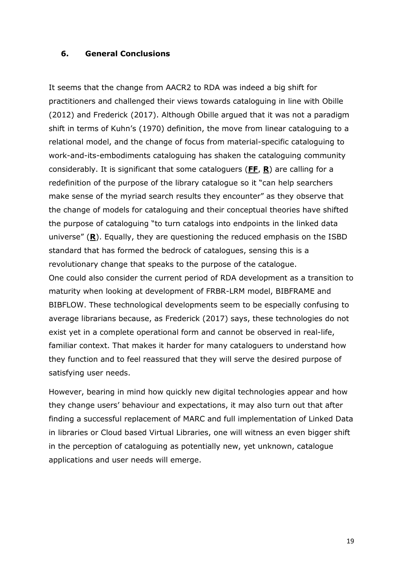#### **6. General Conclusions**

It seems that the change from AACR2 to RDA was indeed a big shift for practitioners and challenged their views towards cataloguing in line with Obille (2012) and Frederick (2017). Although Obille argued that it was not a paradigm shift in terms of Kuhn's (1970) definition, the move from linear cataloguing to a relational model, and the change of focus from material-specific cataloguing to work-and-its-embodiments cataloguing has shaken the cataloguing community considerably. It is significant that some cataloguers (**FF**, **R**) are calling for a redefinition of the purpose of the library catalogue so it "can help searchers make sense of the myriad search results they encounter" as they observe that the change of models for cataloguing and their conceptual theories have shifted the purpose of cataloguing "to turn catalogs into endpoints in the linked data universe" (**R**). Equally, they are questioning the reduced emphasis on the ISBD standard that has formed the bedrock of catalogues, sensing this is a revolutionary change that speaks to the purpose of the catalogue. One could also consider the current period of RDA development as a transition to maturity when looking at development of FRBR-LRM model, BIBFRAME and BIBFLOW. These technological developments seem to be especially confusing to average librarians because, as Frederick (2017) says, these technologies do not exist yet in a complete operational form and cannot be observed in real-life, familiar context. That makes it harder for many cataloguers to understand how they function and to feel reassured that they will serve the desired purpose of satisfying user needs.

However, bearing in mind how quickly new digital technologies appear and how they change users' behaviour and expectations, it may also turn out that after finding a successful replacement of MARC and full implementation of Linked Data in libraries or Cloud based Virtual Libraries, one will witness an even bigger shift in the perception of cataloguing as potentially new, yet unknown, catalogue applications and user needs will emerge.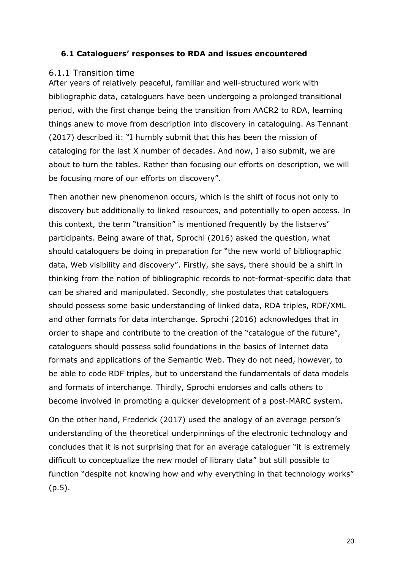#### **6.1 Cataloguers' responses to RDA and issues encountered**

#### 6.1.1 Transition time

After years of relatively peaceful, familiar and well-structured work with bibliographic data, cataloguers have been undergoing a prolonged transitional period, with the first change being the transition from AACR2 to RDA, learning things anew to move from description into discovery in cataloguing. As Tennant (2017) described it: "I humbly submit that this has been the mission of cataloging for the last X number of decades. And now, I also submit, we are about to turn the tables. Rather than focusing our efforts on description, we will be focusing more of our efforts on discovery".

Then another new phenomenon occurs, which is the shift of focus not only to discovery but additionally to linked resources, and potentially to open access. In this context, the term "transition" is mentioned frequently by the listservs' participants. Being aware of that, Sprochi (2016) asked the question, what should cataloguers be doing in preparation for "the new world of bibliographic data, Web visibility and discovery". Firstly, she says, there should be a shift in thinking from the notion of bibliographic records to not-format-specific data that can be shared and manipulated. Secondly, she postulates that cataloguers should possess some basic understanding of linked data, RDA triples, RDF/XML and other formats for data interchange. Sprochi (2016) acknowledges that in order to shape and contribute to the creation of the "catalogue of the future", cataloguers should possess solid foundations in the basics of Internet data formats and applications of the Semantic Web. They do not need, however, to be able to code RDF triples, but to understand the fundamentals of data models and formats of interchange. Thirdly, Sprochi endorses and calls others to become involved in promoting a quicker development of a post-MARC system.

On the other hand, Frederick (2017) used the analogy of an average person's understanding of the theoretical underpinnings of the electronic technology and concludes that it is not surprising that for an average cataloguer "it is extremely difficult to conceptualize the new model of library data" but still possible to function "despite not knowing how and why everything in that technology works" (p.5).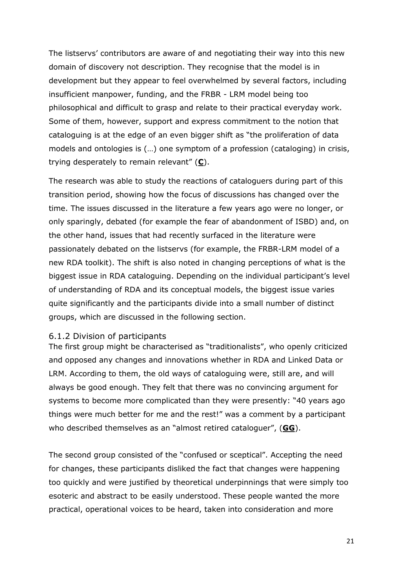The listservs' contributors are aware of and negotiating their way into this new domain of discovery not description. They recognise that the model is in development but they appear to feel overwhelmed by several factors, including insufficient manpower, funding, and the FRBR - LRM model being too philosophical and difficult to grasp and relate to their practical everyday work. Some of them, however, support and express commitment to the notion that cataloguing is at the edge of an even bigger shift as "the proliferation of data models and ontologies is (…) one symptom of a profession (cataloging) in crisis, trying desperately to remain relevant" (**C**).

The research was able to study the reactions of cataloguers during part of this transition period, showing how the focus of discussions has changed over the time. The issues discussed in the literature a few years ago were no longer, or only sparingly, debated (for example the fear of abandonment of ISBD) and, on the other hand, issues that had recently surfaced in the literature were passionately debated on the listservs (for example, the FRBR-LRM model of a new RDA toolkit). The shift is also noted in changing perceptions of what is the biggest issue in RDA cataloguing. Depending on the individual participant's level of understanding of RDA and its conceptual models, the biggest issue varies quite significantly and the participants divide into a small number of distinct groups, which are discussed in the following section.

#### 6.1.2 Division of participants

The first group might be characterised as "traditionalists", who openly criticized and opposed any changes and innovations whether in RDA and Linked Data or LRM. According to them, the old ways of cataloguing were, still are, and will always be good enough. They felt that there was no convincing argument for systems to become more complicated than they were presently: "40 years ago things were much better for me and the rest!" was a comment by a participant who described themselves as an "almost retired cataloguer", (**GG**).

The second group consisted of the "confused or sceptical". Accepting the need for changes, these participants disliked the fact that changes were happening too quickly and were justified by theoretical underpinnings that were simply too esoteric and abstract to be easily understood. These people wanted the more practical, operational voices to be heard, taken into consideration and more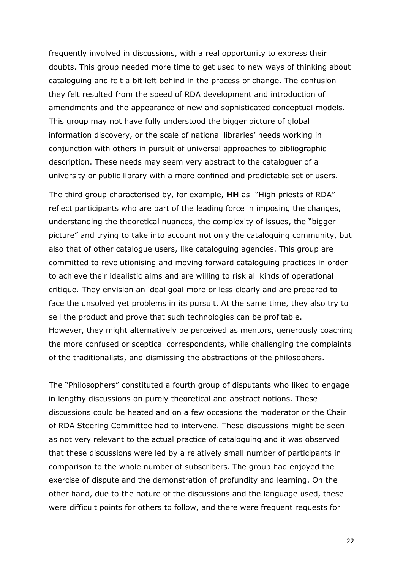frequently involved in discussions, with a real opportunity to express their doubts. This group needed more time to get used to new ways of thinking about cataloguing and felt a bit left behind in the process of change. The confusion they felt resulted from the speed of RDA development and introduction of amendments and the appearance of new and sophisticated conceptual models. This group may not have fully understood the bigger picture of global information discovery, or the scale of national libraries' needs working in conjunction with others in pursuit of universal approaches to bibliographic description. These needs may seem very abstract to the cataloguer of a university or public library with a more confined and predictable set of users.

The third group characterised by, for example, **HH** as "High priests of RDA" reflect participants who are part of the leading force in imposing the changes, understanding the theoretical nuances, the complexity of issues, the "bigger picture" and trying to take into account not only the cataloguing community, but also that of other catalogue users, like cataloguing agencies. This group are committed to revolutionising and moving forward cataloguing practices in order to achieve their idealistic aims and are willing to risk all kinds of operational critique. They envision an ideal goal more or less clearly and are prepared to face the unsolved yet problems in its pursuit. At the same time, they also try to sell the product and prove that such technologies can be profitable. However, they might alternatively be perceived as mentors, generously coaching the more confused or sceptical correspondents, while challenging the complaints of the traditionalists, and dismissing the abstractions of the philosophers.

The "Philosophers" constituted a fourth group of disputants who liked to engage in lengthy discussions on purely theoretical and abstract notions. These discussions could be heated and on a few occasions the moderator or the Chair of RDA Steering Committee had to intervene. These discussions might be seen as not very relevant to the actual practice of cataloguing and it was observed that these discussions were led by a relatively small number of participants in comparison to the whole number of subscribers. The group had enjoyed the exercise of dispute and the demonstration of profundity and learning. On the other hand, due to the nature of the discussions and the language used, these were difficult points for others to follow, and there were frequent requests for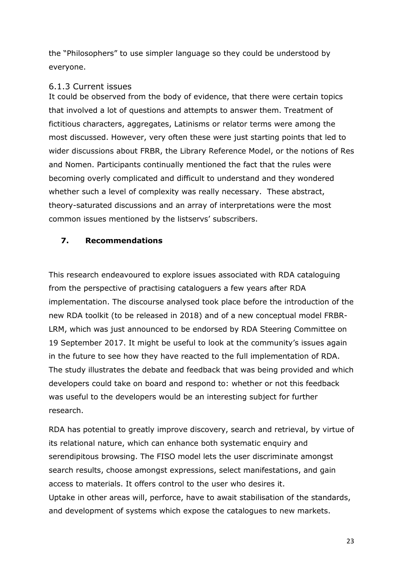the "Philosophers" to use simpler language so they could be understood by everyone.

# 6.1.3 Current issues

It could be observed from the body of evidence, that there were certain topics that involved a lot of questions and attempts to answer them. Treatment of fictitious characters, aggregates, Latinisms or relator terms were among the most discussed. However, very often these were just starting points that led to wider discussions about FRBR, the Library Reference Model, or the notions of Res and Nomen. Participants continually mentioned the fact that the rules were becoming overly complicated and difficult to understand and they wondered whether such a level of complexity was really necessary. These abstract, theory-saturated discussions and an array of interpretations were the most common issues mentioned by the listservs' subscribers.

# **7. Recommendations**

This research endeavoured to explore issues associated with RDA cataloguing from the perspective of practising cataloguers a few years after RDA implementation. The discourse analysed took place before the introduction of the new RDA toolkit (to be released in 2018) and of a new conceptual model FRBR-LRM, which was just announced to be endorsed by RDA Steering Committee on 19 September 2017. It might be useful to look at the community's issues again in the future to see how they have reacted to the full implementation of RDA. The study illustrates the debate and feedback that was being provided and which developers could take on board and respond to: whether or not this feedback was useful to the developers would be an interesting subject for further research.

RDA has potential to greatly improve discovery, search and retrieval, by virtue of its relational nature, which can enhance both systematic enquiry and serendipitous browsing. The FISO model lets the user discriminate amongst search results, choose amongst expressions, select manifestations, and gain access to materials. It offers control to the user who desires it. Uptake in other areas will, perforce, have to await stabilisation of the standards, and development of systems which expose the catalogues to new markets.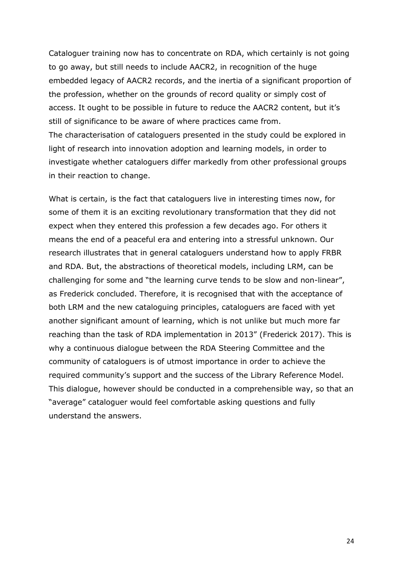Cataloguer training now has to concentrate on RDA, which certainly is not going to go away, but still needs to include AACR2, in recognition of the huge embedded legacy of AACR2 records, and the inertia of a significant proportion of the profession, whether on the grounds of record quality or simply cost of access. It ought to be possible in future to reduce the AACR2 content, but it's still of significance to be aware of where practices came from. The characterisation of cataloguers presented in the study could be explored in light of research into innovation adoption and learning models, in order to investigate whether cataloguers differ markedly from other professional groups in their reaction to change.

What is certain, is the fact that cataloguers live in interesting times now, for some of them it is an exciting revolutionary transformation that they did not expect when they entered this profession a few decades ago. For others it means the end of a peaceful era and entering into a stressful unknown. Our research illustrates that in general cataloguers understand how to apply FRBR and RDA. But, the abstractions of theoretical models, including LRM, can be challenging for some and "the learning curve tends to be slow and non-linear", as Frederick concluded. Therefore, it is recognised that with the acceptance of both LRM and the new cataloguing principles, cataloguers are faced with yet another significant amount of learning, which is not unlike but much more far reaching than the task of RDA implementation in 2013" (Frederick 2017). This is why a continuous dialogue between the RDA Steering Committee and the community of cataloguers is of utmost importance in order to achieve the required community's support and the success of the Library Reference Model. This dialogue, however should be conducted in a comprehensible way, so that an "average" cataloguer would feel comfortable asking questions and fully understand the answers.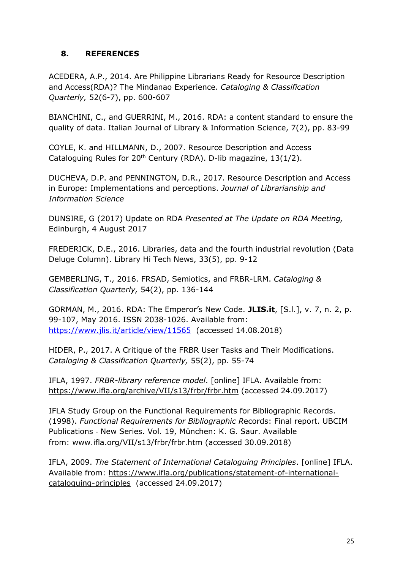# **8. REFERENCES**

ACEDERA, A.P., 2014. Are Philippine Librarians Ready for Resource Description and Access(RDA)? The Mindanao Experience. *Cataloging & Classification Quarterly,* 52(6-7), pp. 600-607

BIANCHINI, C., and GUERRINI, M., 2016. RDA: a content standard to ensure the quality of data. Italian Journal of Library & Information Science, 7(2), pp. 83-99

COYLE, K. and HILLMANN, D., 2007. Resource Description and Access Cataloguing Rules for  $20<sup>th</sup>$  Century (RDA). D-lib magazine,  $13(1/2)$ .

DUCHEVA, D.P. and PENNINGTON, D.R., 2017. Resource Description and Access in Europe: Implementations and perceptions. *Journal of Librarianship and Information Science*

DUNSIRE, G (2017) Update on RDA *Presented at The Update on RDA Meeting,*  Edinburgh, 4 August 2017

FREDERICK, D.E., 2016. Libraries, data and the fourth industrial revolution (Data Deluge Column). Library Hi Tech News, 33(5), pp. 9-12

GEMBERLING, T., 2016. FRSAD, Semiotics, and FRBR-LRM. *Cataloging & Classification Quarterly,* 54(2), pp. 136-144

GORMAN, M., 2016. RDA: The Emperor's New Code. **JLIS.it**, [S.l.], v. 7, n. 2, p. 99-107, May 2016. ISSN 2038-1026. Available from: <https://www.jlis.it/article/view/11565>(accessed 14.08.2018)

HIDER, P., 2017. A Critique of the FRBR User Tasks and Their Modifications. *Cataloging & Classification Quarterly,* 55(2), pp. 55-74

IFLA, 1997. *FRBR-library reference model*. [online] IFLA. Available from: <https://www.ifla.org/archive/VII/s13/frbr/frbr.htm> (accessed 24.09.2017)

IFLA Study Group on the Functional Requirements for Bibliographic Records. (1998). *Functional Requirements for Bibliographic R*ecords: Final report. UBCIM Publications ‐ New Series. Vol. 19, München: K. G. Saur. Available from: [www.ifla.org/VII/s13/frbr/frbr.htm](http://www.ifla.org/VII/s13/frbr/frbr.htm) (accessed 30.09.2018)

IFLA, 2009. *The Statement of International Cataloguing Principles*. [online] IFLA. Available from: [https://www.ifla.org/publications/statement-of-international](https://www.ifla.org/publications/statement-of-international-cataloguing-principles)[cataloguing-principles](https://www.ifla.org/publications/statement-of-international-cataloguing-principles) (accessed 24.09.2017)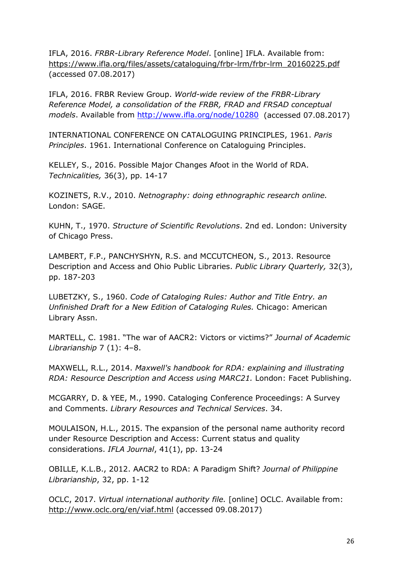IFLA, 2016. *FRBR-Library Reference Model*. [online] IFLA. Available from: [https://www.ifla.org/files/assets/cataloguing/frbr-lrm/frbr-lrm\\_20160225.pdf](https://www.ifla.org/files/assets/cataloguing/frbr-lrm/frbr-lrm_20160225.pdf) (accessed 07.08.2017)

IFLA, 2016. FRBR Review Group. *World-wide review of the FRBR-Library Reference Model, a consolidation of the FRBR, FRAD and FRSAD conceptual models*. Available from<http://www.ifla.org/node/10280>(accessed 07.08.2017)

INTERNATIONAL CONFERENCE ON CATALOGUING PRINCIPLES, 1961. *Paris Principles*. 1961. International Conference on Cataloguing Principles.

KELLEY, S., 2016. Possible Major Changes Afoot in the World of RDA. *Technicalities,* 36(3), pp. 14-17

KOZINETS, R.V., 2010. *Netnography: doing ethnographic research online.*  London: SAGE.

KUHN, T., 1970. *Structure of Scientific Revolutions*. 2nd ed. London: University of Chicago Press.

LAMBERT, F.P., PANCHYSHYN, R.S. and MCCUTCHEON, S., 2013. Resource Description and Access and Ohio Public Libraries. *Public Library Quarterly,* 32(3), pp. 187-203

LUBETZKY, S., 1960. *Code of Cataloging Rules: Author and Title Entry. an Unfinished Draft for a New Edition of Cataloging Rules.* Chicago: American Library Assn.

MARTELL, C. 1981. "The war of AACR2: Victors or victims?" *Journal of Academic Librarianship* 7 (1): 4–8.

MAXWELL, R.L., 2014. *Maxwell's handbook for RDA: explaining and illustrating RDA: Resource Description and Access using MARC21.* London: Facet Publishing.

MCGARRY, D. & YEE, M., 1990. Cataloging Conference Proceedings: A Survey and Comments. *Library Resources and Technical Services*. 34.

MOULAISON, H.L., 2015. The expansion of the personal name authority record under Resource Description and Access: Current status and quality considerations. *IFLA Journal*, 41(1), pp. 13-24

OBILLE, K.L.B., 2012. AACR2 to RDA: A Paradigm Shift? *Journal of Philippine Librarianship*, 32, pp. 1-12

OCLC, 2017. *Virtual international authority file.* [online] OCLC. Available from: <http://www.oclc.org/en/viaf.html> (accessed 09.08.2017)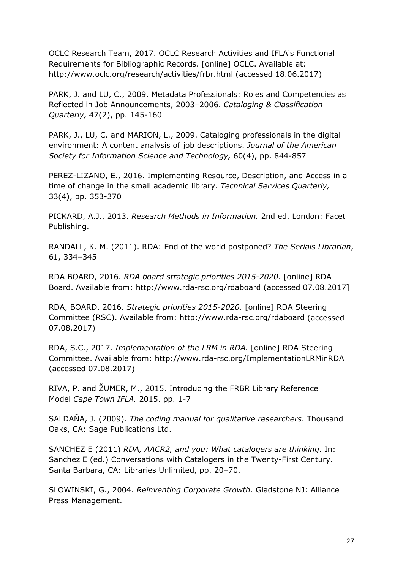OCLC Research Team, 2017. OCLC Research Activities and IFLA's Functional Requirements for Bibliographic Records. [online] OCLC. Available at: <http://www.oclc.org/research/activities/frbr.html> (accessed 18.06.2017)

PARK, J. and LU, C., 2009. Metadata Professionals: Roles and Competencies as Reflected in Job Announcements, 2003–2006. *Cataloging & Classification Quarterly,* 47(2), pp. 145-160

PARK, J., LU, C. and MARION, L., 2009. Cataloging professionals in the digital environment: A content analysis of job descriptions. *Journal of the American Society for Information Science and Technology,* 60(4), pp. 844-857

PEREZ-LIZANO, E., 2016. Implementing Resource, Description, and Access in a time of change in the small academic library. *Technical Services Quarterly,*  33(4), pp. 353-370

PICKARD, A.J., 2013. *Research Methods in Information.* 2nd ed. London: Facet Publishing.

RANDALL, K. M. (2011). RDA: End of the world postponed? *The Serials Librarian*, 61, 334–345

RDA BOARD, 2016. *RDA board strategic priorities 2015-2020.* [online] RDA Board. Available from:<http://www.rda-rsc.org/rdaboard> (accessed 07.08.2017]

RDA, BOARD, 2016. *Strategic priorities 2015-2020.* [online] RDA Steering Committee (RSC). Available from:<http://www.rda-rsc.org/rdaboard> (accessed 07.08.2017)

RDA, S.C., 2017. *Implementation of the LRM in RDA.* [online] RDA Steering Committee. Available from: <http://www.rda-rsc.org/ImplementationLRMinRDA> (accessed 07.08.2017)

RIVA, P. and ŽUMER, M., 2015. Introducing the FRBR Library Reference Model *Cape Town IFLA.* 2015. pp. 1-7

SALDAÑA, J. (2009). *The coding manual for qualitative researchers*. Thousand Oaks, CA: Sage Publications Ltd.

SANCHEZ E (2011) *RDA, AACR2, and you: What catalogers are thinking*. In: Sanchez E (ed.) Conversations with Catalogers in the Twenty-First Century. Santa Barbara, CA: Libraries Unlimited, pp. 20–70.

SLOWINSKI, G., 2004. *Reinventing Corporate Growth.* Gladstone NJ: Alliance Press Management.